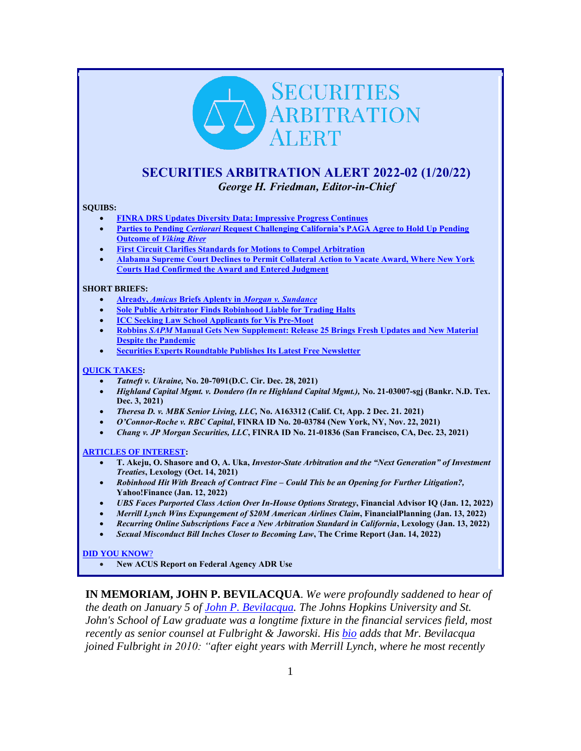# **SECURITIES** ARBITRATION **FRT**

# <span id="page-0-0"></span>**SECURITIES ARBITRATION ALERT 2022-02 (1/20/22)** *George H. Friedman, Editor-in-Chief*

#### **SQUIBS:**

- **[FINRA DRS Updates Diversity Data: Impressive Progress Continues](#page-1-0)**
- **Parties to Pending** *Certiorari* **[Request Challenging California's PAGA Agree to Hold Up Pending](#page-3-0)  Outcome of** *[Viking River](#page-3-0)*
- **[First Circuit Clarifies Standards for Motions to Compel Arbitration](#page-4-0)**
- **[Alabama Supreme Court Declines to Permit Collateral Action to Vacate Award, Where New York](#page-6-0)  [Courts Had Confirmed the Award and Entered Judgment](#page-6-0)**

#### **SHORT BRIEFS:**

- **Already,** *Amicus* **Briefs Aplenty in** *[Morgan v. Sundance](#page-7-0)*
- **[Sole Public Arbitrator Finds Robinhood Liable for Trading Halts](#page-8-0)**
- **[ICC Seeking Law School Applicants for Vis Pre-Moot](#page-8-1)**
- **Robbins** *SAPM* **[Manual Gets New Supplement: Release 25 Brings Fresh Updates and New Material](#page-9-0)  [Despite the Pandemic](#page-9-0)**
- **[Securities Experts Roundtable Publishes Its Latest Free Newsletter](#page-9-1)**

#### **[QUICK TAKES:](#page-10-0)**

- *Tatneft v. Ukraine,* **No. 20-7091(D.C. Cir. Dec. 28, 2021)**
- *Highland Capital Mgmt. v. Dondero (In re Highland Capital Mgmt.),* **No. 21-03007-sgj (Bankr. N.D. Tex. Dec. 3, 2021)**
- *Theresa D. v. MBK Senior Living, LLC,* **No. A163312 (Calif. Ct, App. 2 Dec. 21. 2021)**
- *O'Connor-Roche v. RBC Capital***, FINRA ID No. 20-03784 (New York, NY, Nov. 22, 2021)**
- *Chang v. JP Morgan Securities, LLC***, FINRA ID No. 21-01836 (San Francisco, CA, Dec. 23, 2021)**

#### **[ARTICLES OF INTEREST:](#page-11-0)**

- **T. Akeju, O. Shasore and O, A. Uka,** *Investor-State Arbitration and the "Next Generation" of Investment Treaties***, Lexology (Oct. 14, 2021)**
- *Robinhood Hit With Breach of Contract Fine – Could This be an Opening for Further Litigation?,*  **Yahoo!Finance (Jan. 12, 2022)**
- *UBS Faces Purported Class Action Over In-House Options Strategy***, Financial Advisor IQ (Jan. 12, 2022)**
- *Merrill Lynch Wins Expungement of \$20M American Airlines Claim***, FinancialPlanning (Jan. 13, 2022)**
- *Recurring Online Subscriptions Face a New Arbitration Standard in California***, Lexology (Jan. 13, 2022)**
- *Sexual Misconduct Bill Inches Closer to Becoming Law***, The Crime Report (Jan. 14, 2022)**

#### **[DID YOU KNOW](#page-13-0)**?

• **New ACUS Report on Federal Agency ADR Use**

**IN MEMORIAM, JOHN P. BEVILACQUA**. *We were profoundly saddened to hear of the death on January 5 of [John P. Bevilacqua.](https://www.legacy.com/us/obituaries/nytimes/name/john-bevilacqua-obituary?id=32222196) The Johns Hopkins University and St. John's School of Law graduate was a longtime fixture in the financial services field, most recently as senior counsel at Fulbright & Jaworski. His [bio](https://www.securitiesdocket.com/2010/08/18/john-bevilacqua-joins-fulbright-jaworski-in-its-new-york/) adds that Mr. Bevilacqua joined Fulbright in 2010: "after eight years with Merrill Lynch, where he most recently*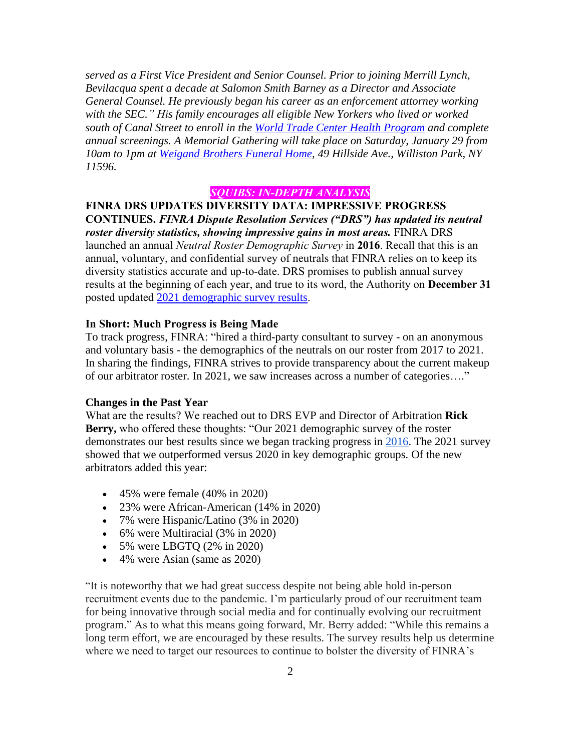*served as a First Vice President and Senior Counsel. Prior to joining Merrill Lynch, Bevilacqua spent a decade at Salomon Smith Barney as a Director and Associate General Counsel. He previously began his career as an enforcement attorney working with the SEC." His family encourages all eligible New Yorkers who lived or worked south of Canal Street to enroll in the [World Trade Center Health Program](https://www.cdc.gov/wtc/) and complete annual screenings. A Memorial Gathering will take place on Saturday, January 29 from 10am to 1pm at [Weigand Brothers Funeral Home,](https://weigandbrothers.com/) 49 Hillside Ave., Williston Park, NY 11596.*

# *SQUIBS: IN-DEPTH ANALYSIS*

# <span id="page-1-0"></span>**FINRA DRS UPDATES DIVERSITY DATA: IMPRESSIVE PROGRESS CONTINUES.** *FINRA Dispute Resolution Services ("DRS") has updated its neutral*

*roster diversity statistics, showing impressive gains in most areas.* FINRA DRS launched an annual *Neutral Roster Demographic Survey* in **2016**. Recall that this is an annual, voluntary, and confidential survey of neutrals that FINRA relies on to keep its diversity statistics accurate and up-to-date. DRS promises to publish annual survey results at the beginning of each year, and true to its word, the Authority on **December 31**  posted updated [2021 demographic survey results](https://www.finra.org/arbitration-mediation/our-commitment-achieving-arbitrator-and-mediator-diversity-finra).

# **In Short: Much Progress is Being Made**

To track progress, FINRA: "hired a third-party consultant to survey - on an anonymous and voluntary basis - the demographics of the neutrals on our roster from 2017 to 2021. In sharing the findings, FINRA strives to provide transparency about the current makeup of our arbitrator roster. In 2021, we saw increases across a number of categories…."

## **Changes in the Past Year**

What are the results? We reached out to DRS EVP and Director of Arbitration **Rick Berry,** who offered these thoughts: "Our 2021 demographic survey of the roster demonstrates our best results since we began tracking progress in [2016.](https://www.finra.org/arbitration-mediation/our-commitment-achieving-arbitrator-and-mediator-diversity-finra) The 2021 survey showed that we outperformed versus 2020 in key demographic groups. Of the new arbitrators added this year:

- 45% were female  $(40\% \text{ in } 2020)$
- 23% were African-American (14% in 2020)
- 7% were Hispanic/Latino (3% in 2020)
- 6% were Multiracial (3% in 2020)
- 5% were LBGTQ (2% in 2020)
- 4% were Asian (same as 2020)

"It is noteworthy that we had great success despite not being able hold in-person recruitment events due to the pandemic. I'm particularly proud of our recruitment team for being innovative through social media and for continually evolving our recruitment program." As to what this means going forward, Mr. Berry added: "While this remains a long term effort, we are encouraged by these results. The survey results help us determine where we need to target our resources to continue to bolster the diversity of FINRA's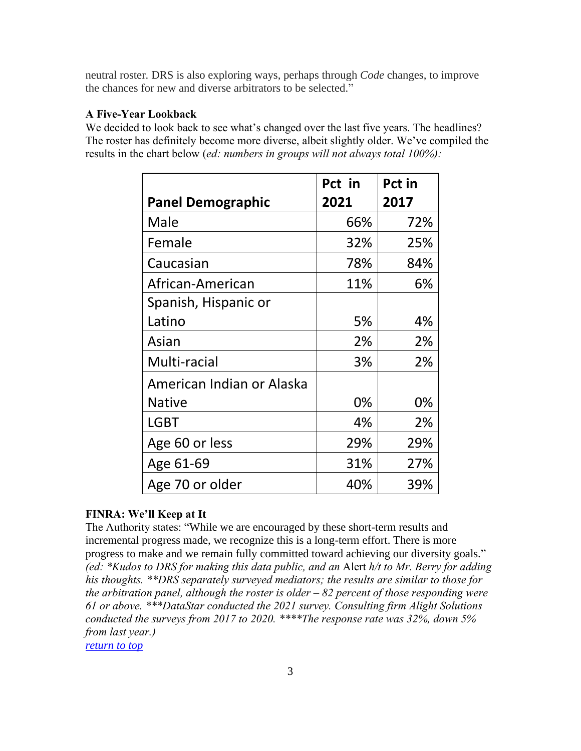neutral roster. DRS is also exploring ways, perhaps through *Code* changes, to improve the chances for new and diverse arbitrators to be selected."

# **A Five-Year Lookback**

We decided to look back to see what's changed over the last five years. The headlines? The roster has definitely become more diverse, albeit slightly older. We've compiled the results in the chart below (*ed: numbers in groups will not always total 100%):*

|                           | Pct in | Pct in |
|---------------------------|--------|--------|
| <b>Panel Demographic</b>  | 2021   | 2017   |
| Male                      | 66%    | 72%    |
| Female                    | 32%    | 25%    |
| Caucasian                 | 78%    | 84%    |
| African-American          | 11%    | 6%     |
| Spanish, Hispanic or      |        |        |
| Latino                    | 5%     | 4%     |
| Asian                     | 2%     | 2%     |
| Multi-racial              | 3%     | 2%     |
| American Indian or Alaska |        |        |
| <b>Native</b>             | 0%     | 0%     |
| <b>LGBT</b>               | 4%     | 2%     |
| Age 60 or less            | 29%    | 29%    |
| Age 61-69                 | 31%    | 27%    |
| Age 70 or older           | 40%    | 39%    |

# **FINRA: We'll Keep at It**

The Authority states: "While we are encouraged by these short-term results and incremental progress made, we recognize this is a long-term effort. There is more progress to make and we remain fully committed toward achieving our diversity goals." *(ed: \*Kudos to DRS for making this data public, and an* Alert *h/t to Mr. Berry for adding his thoughts. \*\*DRS separately surveyed mediators; the results are similar to those for the arbitration panel, although the roster is older – 82 percent of those responding were 61 or above. \*\*\*DataStar conducted the 2021 survey. Consulting firm Alight Solutions conducted the surveys from 2017 to 2020. \*\*\*\*The response rate was 32%, down 5% from last year.)*

*[return to top](#page-0-0)*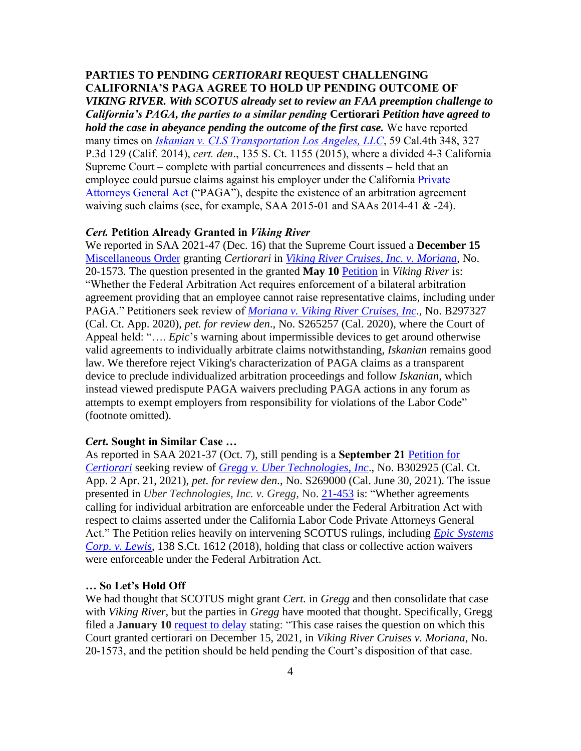## <span id="page-3-0"></span>**PARTIES TO PENDING** *CERTIORARI* **REQUEST CHALLENGING CALIFORNIA'S PAGA AGREE TO HOLD UP PENDING OUTCOME OF**

*VIKING RIVER. With SCOTUS already set to review an FAA preemption challenge to California's PAGA, the parties to a similar pending* **Certiorari** *Petition have agreed to hold the case in abeyance pending the outcome of the first case.* We have reported many times on *[Iskanian v. CLS Transportation Los Angeles, LLC](http://www.courts.ca.gov/opinions/archive/S204032A.PDF)*, 59 Cal.4th 348, 327 P.3d 129 (Calif. 2014), *cert. den*., 135 S. Ct. 1155 (2015), where a divided 4-3 California Supreme Court – complete with partial concurrences and dissents – held that an employee could pursue claims against his employer under the California Private [Attorneys General Act](http://leginfo.legislature.ca.gov/faces/codes_displayText.xhtml?lawCode=LAB&division=2.&title=&part=13.&chapter=&article=) ("PAGA"), despite the existence of an arbitration agreement waiving such claims (see, for example, SAA 2015-01 and SAAs 2014-41 & -24).

# *Cert.* **Petition Already Granted in** *Viking River*

We reported in SAA 2021-47 (Dec. 16) that the Supreme Court issued a **December 15** [Miscellaneous Order](https://www.supremecourt.gov/orders/courtorders/121521zr_n75o.pdf) granting *Certiorari* in *[Viking River Cruises, Inc. v. Moriana](https://www.supremecourt.gov/docket/docketfiles/html/public/20-1573.html)*, No. 20-1573. The question presented in the granted **May 10** [Petition](https://www.supremecourt.gov/DocketPDF/20/20-1573/178703/20210510123129707_2021-05-10%20Viking%20Petition%20Final.pdf) in *Viking River* is: "Whether the Federal Arbitration Act requires enforcement of a bilateral arbitration agreement providing that an employee cannot raise representative claims, including under PAGA." Petitioners seek review of *[Moriana v. Viking River Cruises, Inc.](https://scholar.google.com/scholar_case?case=6794952262019413842&hl=en&as_sdt=6&as_vis=1&oi=scholarr),* No. B297327 (Cal. Ct. App. 2020), *pet. for review den*., No. S265257 (Cal. 2020), where the Court of Appeal held: "…. *Epic*'s warning about impermissible devices to get around otherwise valid agreements to individually arbitrate claims notwithstanding, *Iskanian* remains good law. We therefore reject Viking's characterization of PAGA claims as a transparent device to preclude individualized arbitration proceedings and follow *Iskanian*, which instead viewed predispute PAGA waivers precluding PAGA actions in any forum as attempts to exempt employers from responsibility for violations of the Labor Code" (footnote omitted).

# *Cert***. Sought in Similar Case …**

As reported in SAA 2021-37 (Oct. 7), still pending is a **September 21** [Petition for](https://www.supremecourt.gov/DocketPDF/21/21-453/193156/20210921114240831_Uber-Gregg%20-%20Petition%20for%20Writ%20of%20Certiorari.pdf)  *[Certiorari](https://www.supremecourt.gov/DocketPDF/21/21-453/193156/20210921114240831_Uber-Gregg%20-%20Petition%20for%20Writ%20of%20Certiorari.pdf)* seeking review of *[Gregg v. Uber Technologies, Inc](https://www.constangy.com/assets/htmldocuments/CA%20Bulletin.Gregg%20v.%20Uber.pdf)*., No. B302925 (Cal. Ct. App. 2 Apr. 21, 2021), *pet. for review den.*, No. S269000 (Cal. June 30, 2021). The issue presented in *Uber Technologies, Inc. v. Gregg,* No. [21-453](https://www.supremecourt.gov/search.aspx?filename=/docket/docketfiles/html/public/21-453.html) is: "Whether agreements calling for individual arbitration are enforceable under the Federal Arbitration Act with respect to claims asserted under the California Labor Code Private Attorneys General Act." The Petition relies heavily on intervening SCOTUS rulings, including *[Epic Systems](https://www.supremecourt.gov/opinions/17pdf/16-285_q8l1.pdf)  [Corp. v. Lewis](https://www.supremecourt.gov/opinions/17pdf/16-285_q8l1.pdf)*, 138 S.Ct. 1612 (2018), holding that class or collective action waivers were enforceable under the Federal Arbitration Act.

# **… So Let's Hold Off**

We had thought that SCOTUS might grant *Cert.* in *Gregg* and then consolidate that case with *Viking River*, but the parties in *Gregg* have mooted that thought. Specifically, Gregg filed a **January 10** [request to delay](https://www.supremecourt.gov/DocketPDF/21/21-453/207778/20220110124742537_2022-01-10%20Uber%20v.%20Gregg%20SCOTUS%20Response%20Final%20FINAL.pdf) stating: "This case raises the question on which this Court granted certiorari on December 15, 2021, in *Viking River Cruises v. Moriana*, No. 20-1573, and the petition should be held pending the Court's disposition of that case.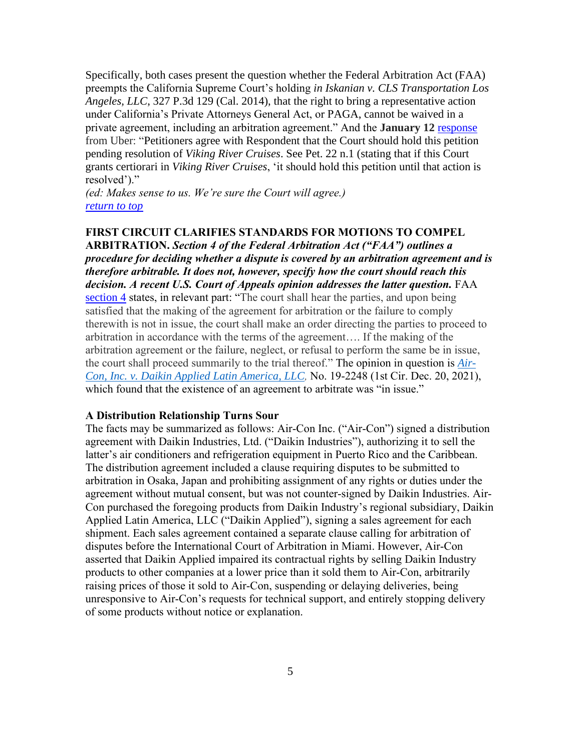Specifically, both cases present the question whether the Federal Arbitration Act (FAA) preempts the California Supreme Court's holding *in Iskanian v. CLS Transportation Los Angeles, LLC*, 327 P.3d 129 (Cal. 2014), that the right to bring a representative action under California's Private Attorneys General Act, or PAGA, cannot be waived in a private agreement, including an arbitration agreement." And the **January 12** [response](https://www.supremecourt.gov/DocketPDF/21/21-453/208019/20220112100941044_Gregg-Uber%20--%20Reply%20Letter%20ISO%20Cert.%20Petition.pdf) from Uber: "Petitioners agree with Respondent that the Court should hold this petition pending resolution of *Viking River Cruises*. See Pet. 22 n.1 (stating that if this Court grants certiorari in *Viking River Cruises*, 'it should hold this petition until that action is resolved')."

*(ed: Makes sense to us. We're sure the Court will agree.) [return to top](#page-0-0)*

# <span id="page-4-0"></span>**FIRST CIRCUIT CLARIFIES STANDARDS FOR MOTIONS TO COMPEL**

**ARBITRATION.** *Section 4 of the Federal Arbitration Act ("FAA") outlines a procedure for deciding whether a dispute is covered by an arbitration agreement and is therefore arbitrable. It does not, however, specify how the court should reach this decision. A recent U.S. Court of Appeals opinion addresses the latter question.* FAA [section 4](https://www.law.cornell.edu/uscode/text/9/4) states, in relevant part: "The court shall hear the parties, and upon being satisfied that the making of the agreement for arbitration or the failure to comply therewith is not in issue, the court shall make an order directing the parties to proceed to arbitration in accordance with the terms of the agreement…. If the making of the arbitration agreement or the failure, neglect, or refusal to perform the same be in issue, the court shall proceed summarily to the trial thereof." The opinion in question is *[Air-](https://cases.justia.com/federal/appellate-courts/ca1/19-2248/19-2248-2021-12-20.pdf?ts=1640034008)Con, Inc. v. Daikin Applied Latin [America,](https://cases.justia.com/federal/appellate-courts/ca1/19-2248/19-2248-2021-12-20.pdf?ts=1640034008) LLC,* No. 19-2248 (1st Cir. Dec. 20, 2021), which found that the existence of an agreement to arbitrate was "in issue."

#### **A Distribution Relationship Turns Sour**

The facts may be summarized as follows: Air-Con Inc. ("Air-Con") signed a distribution agreement with Daikin Industries, Ltd. ("Daikin Industries"), authorizing it to sell the latter's air conditioners and refrigeration equipment in Puerto Rico and the Caribbean. The distribution agreement included a clause requiring disputes to be submitted to arbitration in Osaka, Japan and prohibiting assignment of any rights or duties under the agreement without mutual consent, but was not counter-signed by Daikin Industries. Air-Con purchased the foregoing products from Daikin Industry's regional subsidiary, Daikin Applied Latin America, LLC ("Daikin Applied"), signing a sales agreement for each shipment. Each sales agreement contained a separate clause calling for arbitration of disputes before the International Court of Arbitration in Miami. However, Air-Con asserted that Daikin Applied impaired its contractual rights by selling Daikin Industry products to other companies at a lower price than it sold them to Air-Con, arbitrarily raising prices of those it sold to Air-Con, suspending or delaying deliveries, being unresponsive to Air-Con's requests for technical support, and entirely stopping delivery of some products without notice or explanation.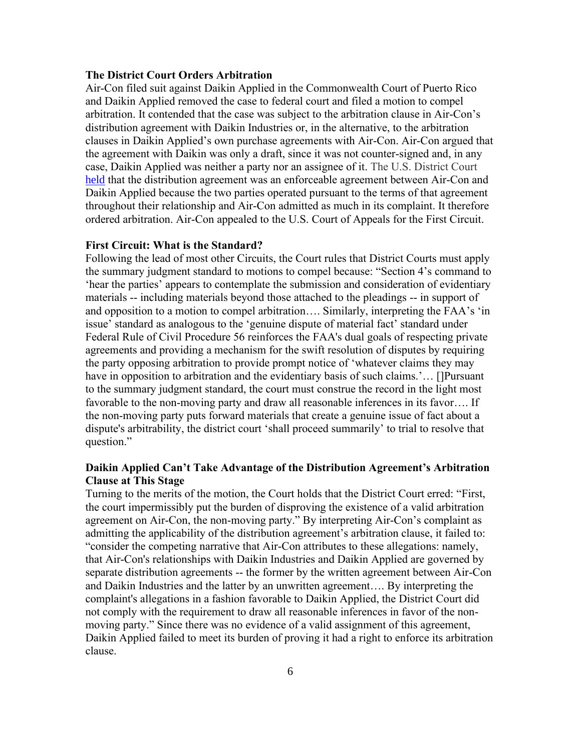# **The District Court Orders Arbitration**

Air-Con filed suit against Daikin Applied in the Commonwealth Court of Puerto Rico and Daikin Applied removed the case to federal court and filed a motion to compel arbitration. It contended that the case was subject to the arbitration clause in Air-Con's distribution agreement with Daikin Industries or, in the alternative, to the arbitration clauses in Daikin Applied's own purchase agreements with Air-Con. Air-Con argued that the agreement with Daikin was only a draft, since it was not counter-signed and, in any case, Daikin Applied was neither a party nor an assignee of it. The U.S. District Court [held](https://www.govinfo.gov/content/pkg/USCOURTS-prd-3_18-cv-01800/pdf/USCOURTS-prd-3_18-cv-01800-0.pdf) that the distribution agreement was an enforceable agreement between Air-Con and Daikin Applied because the two parties operated pursuant to the terms of that agreement throughout their relationship and Air-Con admitted as much in its complaint. It therefore ordered arbitration. Air-Con appealed to the U.S. Court of Appeals for the First Circuit.

## **First Circuit: What is the Standard?**

Following the lead of most other Circuits, the Court rules that District Courts must apply the summary judgment standard to motions to compel because: "Section 4's command to 'hear the parties' appears to contemplate the submission and consideration of evidentiary materials -- including materials beyond those attached to the pleadings -- in support of and opposition to a motion to compel arbitration…. Similarly, interpreting the FAA's 'in issue' standard as analogous to the 'genuine dispute of material fact' standard under Federal Rule of Civil Procedure 56 reinforces the FAA's dual goals of respecting private agreements and providing a mechanism for the swift resolution of disputes by requiring the party opposing arbitration to provide prompt notice of 'whatever claims they may have in opposition to arbitration and the evidentiary basis of such claims.'... [[Pursuant] to the summary judgment standard, the court must construe the record in the light most favorable to the non-moving party and draw all reasonable inferences in its favor…. If the non-moving party puts forward materials that create a genuine issue of fact about a dispute's arbitrability, the district court 'shall proceed summarily' to trial to resolve that question."

# **Daikin Applied Can't Take Advantage of the Distribution Agreement's Arbitration Clause at This Stage**

Turning to the merits of the motion, the Court holds that the District Court erred: "First, the court impermissibly put the burden of disproving the existence of a valid arbitration agreement on Air-Con, the non-moving party." By interpreting Air-Con's complaint as admitting the applicability of the distribution agreement's arbitration clause, it failed to: "consider the competing narrative that Air-Con attributes to these allegations: namely, that Air-Con's relationships with Daikin Industries and Daikin Applied are governed by separate distribution agreements -- the former by the written agreement between Air-Con and Daikin Industries and the latter by an unwritten agreement…. By interpreting the complaint's allegations in a fashion favorable to Daikin Applied, the District Court did not comply with the requirement to draw all reasonable inferences in favor of the nonmoving party." Since there was no evidence of a valid assignment of this agreement, Daikin Applied failed to meet its burden of proving it had a right to enforce its arbitration clause.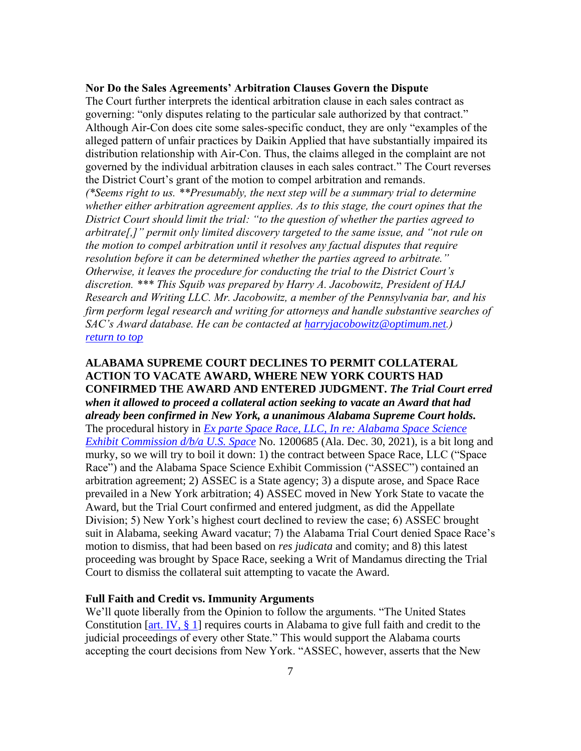# **Nor Do the Sales Agreements' Arbitration Clauses Govern the Dispute**

The Court further interprets the identical arbitration clause in each sales contract as governing: "only disputes relating to the particular sale authorized by that contract." Although Air-Con does cite some sales-specific conduct, they are only "examples of the alleged pattern of unfair practices by Daikin Applied that have substantially impaired its distribution relationship with Air-Con. Thus, the claims alleged in the complaint are not governed by the individual arbitration clauses in each sales contract." The Court reverses the District Court's grant of the motion to compel arbitration and remands.

*(\*Seems right to us. \*\*Presumably, the next step will be a summary trial to determine whether either arbitration agreement applies. As to this stage, the court opines that the District Court should limit the trial: "to the question of whether the parties agreed to arbitrate[,]" permit only limited discovery targeted to the same issue, and "not rule on the motion to compel arbitration until it resolves any factual disputes that require resolution before it can be determined whether the parties agreed to arbitrate." Otherwise, it leaves the procedure for conducting the trial to the District Court's discretion. \*\*\* This Squib was prepared by Harry A. Jacobowitz, President of HAJ Research and Writing LLC. Mr. Jacobowitz, a member of the Pennsylvania bar, and his firm perform legal research and writing for attorneys and handle substantive searches of SAC's Award database. He can be contacted at [harryjacobowitz@optimum.net](mailto:harryjacobowitz@optimum.net).) [return to top](#page-0-0)*

# <span id="page-6-0"></span>**ALABAMA SUPREME COURT DECLINES TO PERMIT COLLATERAL ACTION TO VACATE AWARD, WHERE NEW YORK COURTS HAD CONFIRMED THE AWARD AND ENTERED JUDGMENT.** *The Trial Court erred when it allowed to proceed a collateral action seeking to vacate an Award that had already been confirmed in New York, a unanimous Alabama Supreme Court holds.* The procedural history in *[Ex parte Space Race, LLC, In re: Alabama Space Science](https://acis.alabama.gov/displaydocs.cfm?no=1113605&event=6870LQ4Q3)  [Exhibit Commission d/b/a U.S. Space](https://acis.alabama.gov/displaydocs.cfm?no=1113605&event=6870LQ4Q3)* No. 1200685 (Ala. Dec. 30, 2021), is a bit long and murky, so we will try to boil it down: 1) the contract between Space Race, LLC ("Space Race") and the Alabama Space Science Exhibit Commission ("ASSEC") contained an arbitration agreement; 2) ASSEC is a State agency; 3) a dispute arose, and Space Race prevailed in a New York arbitration; 4) ASSEC moved in New York State to vacate the Award, but the Trial Court confirmed and entered judgment, as did the Appellate Division; 5) New York's highest court declined to review the case; 6) ASSEC brought suit in Alabama, seeking Award vacatur; 7) the Alabama Trial Court denied Space Race's motion to dismiss, that had been based on *res judicata* and comity; and 8) this latest proceeding was brought by Space Race, seeking a Writ of Mandamus directing the Trial Court to dismiss the collateral suit attempting to vacate the Award.

#### **Full Faith and Credit vs. Immunity Arguments**

We'll quote liberally from the Opinion to follow the arguments. "The United States Constitution [\[art. IV, § 1\]](https://www.law.cornell.edu/constitution/articleiv) requires courts in Alabama to give full faith and credit to the judicial proceedings of every other State." This would support the Alabama courts accepting the court decisions from New York. "ASSEC, however, asserts that the New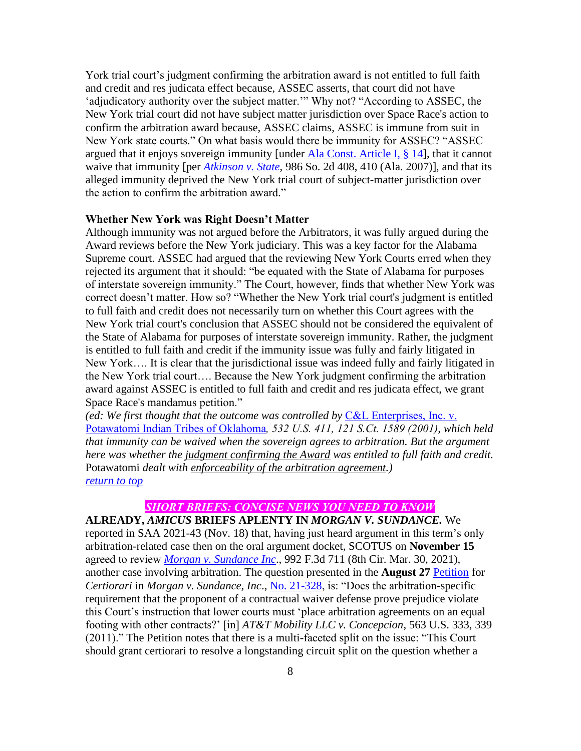York trial court's judgment confirming the arbitration award is not entitled to full faith and credit and res judicata effect because, ASSEC asserts, that court did not have 'adjudicatory authority over the subject matter.'" Why not? "According to ASSEC, the New York trial court did not have subject matter jurisdiction over Space Race's action to confirm the arbitration award because, ASSEC claims, ASSEC is immune from suit in New York state courts." On what basis would there be immunity for ASSEC? "ASSEC argued that it enjoys sovereign immunity [under [Ala Const. Article I, § 14\]](https://law.justia.com/constitution/alabama/CA-245545.html), that it cannot waive that immunity [per *[Atkinson v. State](https://caselaw.findlaw.com/al-supreme-court/1291843.html)*, 986 So. 2d 408, 410 (Ala. 2007)], and that its alleged immunity deprived the New York trial court of subject-matter jurisdiction over the action to confirm the arbitration award."

# **Whether New York was Right Doesn't Matter**

Although immunity was not argued before the Arbitrators, it was fully argued during the Award reviews before the New York judiciary. This was a key factor for the Alabama Supreme court. ASSEC had argued that the reviewing New York Courts erred when they rejected its argument that it should: "be equated with the State of Alabama for purposes of interstate sovereign immunity." The Court, however, finds that whether New York was correct doesn't matter. How so? "Whether the New York trial court's judgment is entitled to full faith and credit does not necessarily turn on whether this Court agrees with the New York trial court's conclusion that ASSEC should not be considered the equivalent of the State of Alabama for purposes of interstate sovereign immunity. Rather, the judgment is entitled to full faith and credit if the immunity issue was fully and fairly litigated in New York…. It is clear that the jurisdictional issue was indeed fully and fairly litigated in the New York trial court…. Because the New York judgment confirming the arbitration award against ASSEC is entitled to full faith and credit and res judicata effect, we grant Space Race's mandamus petition."

*(ed: We first thought that the outcome was controlled by* [C&L Enterprises, Inc. v.](http://caselaw.lp.findlaw.com/scripts/getcase.pl?court=us&vol=000&invol=00-292)  [Potawatomi Indian Tribes of Oklahoma](http://caselaw.lp.findlaw.com/scripts/getcase.pl?court=us&vol=000&invol=00-292)*, 532 U.S. 411, 121 S.Ct. 1589 (2001), which held that immunity can be waived when the sovereign agrees to arbitration. But the argument here was whether the judgment confirming the Award was entitled to full faith and credit.*  Potawatomi *dealt with enforceability of the arbitration agreement.) [return to top](#page-0-0)*

# *SHORT BRIEFS: CONCISE NEWS YOU NEED TO KNOW*

<span id="page-7-0"></span>**ALREADY,** *AMICUS* **BRIEFS APLENTY IN** *MORGAN V. SUNDANCE.* We reported in SAA 2021-43 (Nov. 18) that, having just heard argument in this term's only arbitration-related case then on the oral argument docket, SCOTUS on **November 15** agreed to review *[Morgan v. Sundance Inc](https://bit.ly/3nqL7sJ)*., 992 F.3d 711 (8th Cir. Mar. 30, 2021), another case involving arbitration. The question presented in the **August 27** [Petition](https://www.supremecourt.gov/DocketPDF/21/21-328/188789/20210827234412251_Morgan%20cert%20petition.pdf) for *Certiorari* in *Morgan v. Sundance, Inc*., [No. 21-328,](https://www.supremecourt.gov/docket/docketfiles/html/public/21-328.html) is: "Does the arbitration-specific requirement that the proponent of a contractual waiver defense prove prejudice violate this Court's instruction that lower courts must 'place arbitration agreements on an equal footing with other contracts?' [in] *AT&T Mobility LLC v. Concepcion*, 563 U.S. 333, 339 (2011)." The Petition notes that there is a multi-faceted split on the issue: "This Court should grant certiorari to resolve a longstanding circuit split on the question whether a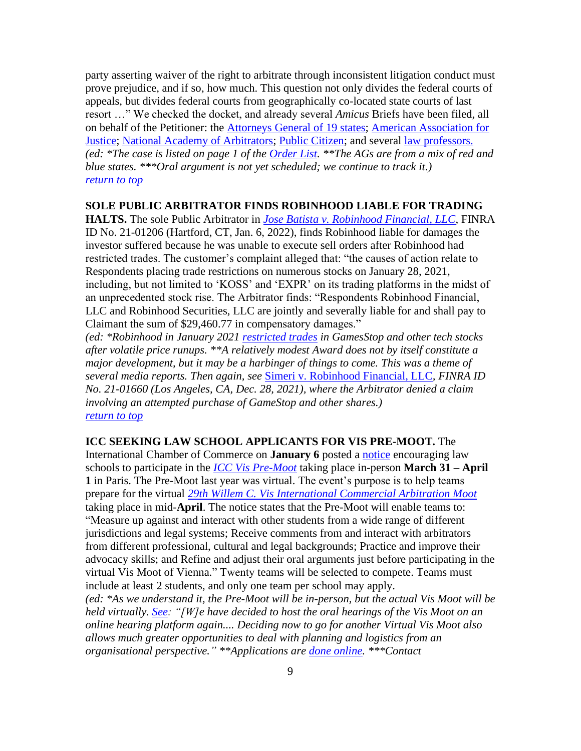party asserting waiver of the right to arbitrate through inconsistent litigation conduct must prove prejudice, and if so, how much. This question not only divides the federal courts of appeals, but divides federal courts from geographically co-located state courts of last resort …" We checked the docket, and already several *Amicus* Briefs have been filed, all on behalf of the Petitioner: the Attorneys [General of 19 states;](https://www.supremecourt.gov/DocketPDF/21/21-328/207558/20220106144249849_Amicus_Brief_of_States_of_MN_MD_et_al.pdf) [American Association for](https://www.supremecourt.gov/DocketPDF/21/21-328/207400/20220105134318491_Morgan%20v%20Sundance%20AAJ%20Amicus%20Brief%20Final.pdf)  [Justice;](https://www.supremecourt.gov/DocketPDF/21/21-328/207400/20220105134318491_Morgan%20v%20Sundance%20AAJ%20Amicus%20Brief%20Final.pdf) [National Academy of Arbitrators;](https://www.supremecourt.gov/DocketPDF/21/21-328/207547/20220106140359373_21-328%20Amicus%20Brief.pdf) [Public Citizen;](https://www.supremecourt.gov/DocketPDF/21/21-328/207540/20220106135507780_21-328tsacPublicCitizen.pdf) and several [law professors.](https://www.supremecourt.gov/DocketPDF/21/21-328/207550/20220106140817376_Morgan%20amicus%20brief%20final.pdf) *(ed: \*The case is listed on page 1 of the [Order List.](https://www.supremecourt.gov/orders/courtorders/111521zor_h315.pdf) \*\*The AGs are from a mix of red and blue states. \*\*\*Oral argument is not yet scheduled; we continue to track it.) [return to top](#page-0-0)*

### <span id="page-8-0"></span>**SOLE PUBLIC ARBITRATOR FINDS ROBINHOOD LIABLE FOR TRADING**

**HALTS.** The sole Public Arbitrator in *[Jose Batista v. Robinhood Financial, LLC](https://www.finra.org/sites/default/files/aao_documents/21-01206.pdf)*, FINRA ID No. 21-01206 (Hartford, CT, Jan. 6, 2022), finds Robinhood liable for damages the investor suffered because he was unable to execute sell orders after Robinhood had restricted trades. The customer's complaint alleged that: "the causes of action relate to Respondents placing trade restrictions on numerous stocks on January 28, 2021, including, but not limited to 'KOSS' and 'EXPR' on its trading platforms in the midst of an unprecedented stock rise. The Arbitrator finds: "Respondents Robinhood Financial, LLC and Robinhood Securities, LLC are jointly and severally liable for and shall pay to Claimant the sum of \$29,460.77 in compensatory damages."

*(ed: \*Robinhood in January 2021 [restricted](https://blog.robinhood.com/news/2021/1/28/keeping-customers-informed-through-market-volatility) trades in GamesStop and other tech stocks after volatile price runups. \*\*A relatively modest Award does not by itself constitute a major development, but it may be a harbinger of things to come. This was a theme of several media reports. Then again, see* [Simeri v. Robinhood Financial, LLC](https://www.finra.org/sites/default/files/aao_documents/21-01660.pdf)*, FINRA ID No. 21-01660 (Los Angeles, CA, Dec. 28, 2021), where the Arbitrator denied a claim involving an attempted purchase of GameStop and other shares.) [return to top](#page-0-0)*

# <span id="page-8-1"></span>**ICC SEEKING LAW SCHOOL APPLICANTS FOR VIS PRE-MOOT.** The

International Chamber of Commerce on **January 6** posted a [notice](http://email.iccwbo.org/m/1/97868436/p1-b22007-4038e60cad1046ecb9e37dd7cc2dd18a/5/139/b794217b-fb53-438b-ba4c-2a2d0a514008) encouraging law schools to participate in the *[ICC Vis Pre-Moot](https://2go.iccwbo.org/icc-vis-pre-moot.html?_cldee=Z2ZyaWVkbWFuQGZvcmRoYW0uZWR1&recipientid=contact-a6e9868f9d0ceb11a813000d3abaad31-e27c8c24fadc462bbad44a2d3f9e960a&esid=3df24b9f-b75f-eb11-a812-0022489b0109)* taking place in-person **March 31 – April 1** in Paris. The Pre-Moot last year was virtual. The event's purpose is to help teams prepare for the virtual *29th [Willem C. Vis International Commercial Arbitration Moot](https://www.vismoot.org/?_cldee=Z2ZyaWVkbWFuQGZvcmRoYW0uZWR1&recipientid=contact-a6e9868f9d0ceb11a813000d3abaad31-003ad977706e4c36b21701ba545bbab5&esid=91dcd26a-d563-ec11-8f8f-000d3a649549)* taking place in mid-**April**. The notice states that the Pre-Moot will enable teams to: "Measure up against and interact with other students from a wide range of different jurisdictions and legal systems; Receive comments from and interact with arbitrators from different professional, cultural and legal backgrounds; Practice and improve their advocacy skills; and Refine and adjust their oral arguments just before participating in the virtual Vis Moot of Vienna." Twenty teams will be selected to compete. Teams must include at least 2 students, and only one team per school may apply.

*(ed: \*As we understand it, the Pre-Moot will be in-person, but the actual Vis Moot will be held virtually. [See:](https://www.vismoot.org/wp-content/uploads/2021/09/29th-Vis-Moot_Information_3rd_Virtual_Vis_Moot_FINAL.pdf) "[W]e have decided to host the oral hearings of the Vis Moot on an online hearing platform again.... Deciding now to go for another Virtual Vis Moot also allows much greater opportunities to deal with planning and logistics from an organisational perspective." \*\*Applications are [done online.](https://2go.iccwbo.org/icc-vis-pre-moot.html?_cldee=Z2ZyaWVkbWFuQGZvcmRoYW0uZWR1&recipientid=contact-a6e9868f9d0ceb11a813000d3abaad31-003ad977706e4c36b21701ba545bbab5&esid=91dcd26a-d563-ec11-8f8f-000d3a649549#description) \*\*\*Contact*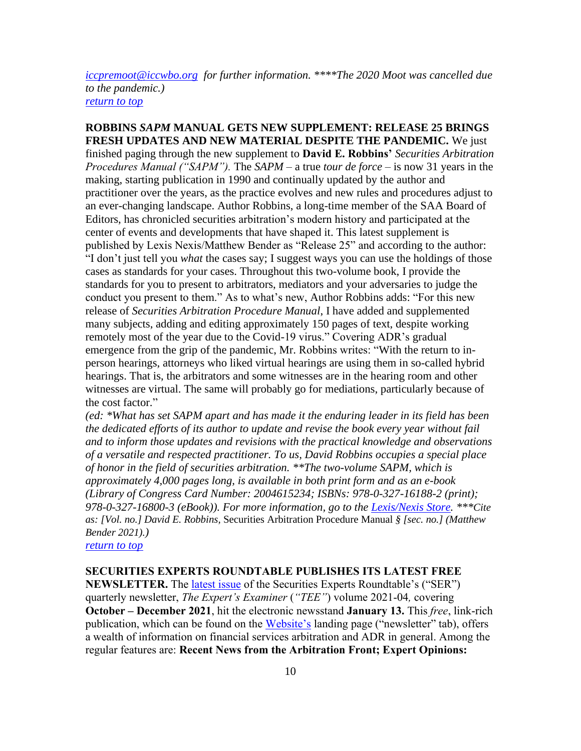*[iccpremoot@iccwbo.org](mailto:iccpremoot@iccwbo.org) for further information. \*\*\*\*The 2020 Moot was cancelled due to the pandemic.) [return to top](#page-0-0)*

<span id="page-9-0"></span>**ROBBINS** *SAPM* **MANUAL GETS NEW SUPPLEMENT: RELEASE 25 BRINGS FRESH UPDATES AND NEW MATERIAL DESPITE THE PANDEMIC.** We just finished paging through the new supplement to **David E. Robbins'** *Securities Arbitration Procedures Manual ("SAPM").* The *SAPM* – a true *tour de force* – is now 31 years in the making, starting publication in 1990 and continually updated by the author and practitioner over the years, as the practice evolves and new rules and procedures adjust to an ever-changing landscape. Author Robbins, a long-time member of the SAA Board of Editors, has chronicled securities arbitration's modern history and participated at the center of events and developments that have shaped it. This latest supplement is published by Lexis Nexis/Matthew Bender as "Release 25" and according to the author: "I don't just tell you *what* the cases say; I suggest ways you can use the holdings of those cases as standards for your cases. Throughout this two-volume book, I provide the standards for you to present to arbitrators, mediators and your adversaries to judge the conduct you present to them." As to what's new, Author Robbins adds: "For this new release of *Securities Arbitration Procedure Manual*, I have added and supplemented many subjects, adding and editing approximately 150 pages of text, despite working remotely most of the year due to the Covid-19 virus." Covering ADR's gradual emergence from the grip of the pandemic, Mr. Robbins writes: "With the return to inperson hearings, attorneys who liked virtual hearings are using them in so-called hybrid hearings. That is, the arbitrators and some witnesses are in the hearing room and other witnesses are virtual. The same will probably go for mediations, particularly because of the cost factor."

*(ed: \*What has set SAPM apart and has made it the enduring leader in its field has been the dedicated efforts of its author to update and revise the book every year without fail and to inform those updates and revisions with the practical knowledge and observations of a versatile and respected practitioner. To us, David Robbins occupies a special place of honor in the field of securities arbitration. \*\*The two-volume SAPM, which is approximately 4,000 pages long, is available in both print form and as an e-book (Library of Congress Card Number: 2004615234; ISBNs: 978-0-327-16188-2 (print); 978-0-327-16800-3 (eBook)). For more information, go to the [Lexis/Nexis Store.](https://store.lexisnexis.com/products/securities-arbitration-procedure-manual-skuusSku7156) \*\*\*Cite as: [Vol. no.] David E. Robbins,* Securities Arbitration Procedure Manual *§ [sec. no.] (Matthew Bender 2021).)*

*[return to top](#page-0-0)*

#### <span id="page-9-1"></span>**SECURITIES EXPERTS ROUNDTABLE PUBLISHES ITS LATEST FREE**

**NEWSLETTER.** The [latest issue](https://myemail.constantcontact.com/The-Expert-s-Examiner-2021-Vol-4.html?soid=1132272968229&aid=CVOm6kPkjZM) of the Securities Experts Roundtable's ("SER") quarterly newsletter, *The Expert's Examiner* (*"TEE"*) volume 2021-04*,* covering **October – December 2021**, hit the electronic newsstand **January 13.** This *free*, link-rich publication, which can be found on the [Website's](https://www.securitiesexpert.org/) landing page ("newsletter" tab), offers a wealth of information on financial services arbitration and ADR in general. Among the regular features are: **Recent News from the Arbitration Front; Expert Opinions:**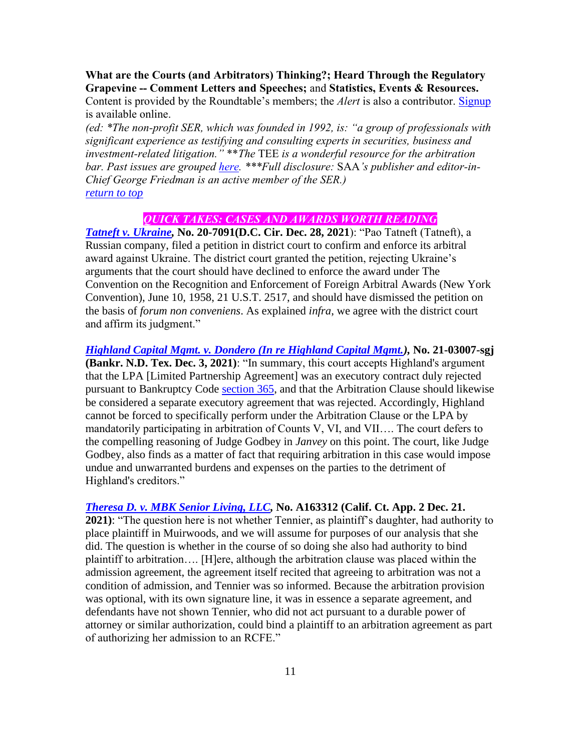**What are the Courts (and Arbitrators) Thinking?; Heard Through the Regulatory Grapevine -- Comment Letters and Speeches;** and **Statistics, Events & Resources.** 

Content is provided by the Roundtable's members; the *Alert* is also a contributor. [Signup](https://visitor.constantcontact.com/manage/optin?v=001iNAvEZHr45b6F5OhLA0nV87447fdcvQzbEwpt9J5fYZP1sYFwv4DWnyrvZvkEW6NQ4FKgzZzpz0kH_jXC5HxoWv9fBslBkflpIEynPShN_LReh6nPiC5vLBHYxFprqycPh3uxXDZuPpqBH0enrXJCnrOPB1oAShgrYXk_MsELlLYsWyzgwcCiHvsV-sdsilu5xm2M_0d_ts%3D) is available online.

*(ed: \*The non-profit SER, which was founded in 1992, is: "a group of professionals with significant experience as testifying and consulting experts in securities, business and investment-related litigation."* \*\**The* TEE *is a wonderful resource for the arbitration bar. Past issues are grouped [here.](https://www.securitiesexpert.org/newsletter.php) \*\*\*Full disclosure:* SAA*'s publisher and editor-in-Chief George Friedman is an active member of the SER.) [return to top](#page-0-0)*

# *QUICK TAKES: CASES AND AWARDS WORTH READING*

<span id="page-10-0"></span>*[Tatneft v. Ukraine,](https://cases.justia.com/federal/appellate-courts/cadc/20-7091/20-7091-2021-12-28.pdf?ts=1640709154)* **No. 20-7091(D.C. Cir. Dec. 28, 2021**): "Pao Tatneft (Tatneft), a Russian company, filed a petition in district court to confirm and enforce its arbitral award against Ukraine. The district court granted the petition, rejecting Ukraine's arguments that the court should have declined to enforce the award under The Convention on the Recognition and Enforcement of Foreign Arbitral Awards (New York Convention), June 10, 1958, 21 U.S.T. 2517, and should have dismissed the petition on the basis of *forum non conveniens*. As explained *infra*, we agree with the district court and affirm its judgment."

*[Highland Capital Mgmt. v. Dondero \(In re Highland Capital Mgmt.\)](https://casetext.com/case/highland-capital-mgmt-v-dondero-in-re-highland-capital-mgmt),* **No. 21-03007-sgj (Bankr. N.D. Tex. Dec. 3, 2021)**: "In summary, this court accepts Highland's argument that the LPA [Limited Partnership Agreement] was an executory contract duly rejected pursuant to Bankruptcy Code [section 365,](https://casetext.com/statute/united-states-code/title-11-bankruptcy/chapter-3-case-administration/subchapter-iv-administrative-powers/section-365-executory-contracts-and-unexpired-leases) and that the Arbitration Clause should likewise be considered a separate executory agreement that was rejected. Accordingly, Highland cannot be forced to specifically perform under the Arbitration Clause or the LPA by mandatorily participating in arbitration of Counts V, VI, and VII…. The court defers to the compelling reasoning of Judge Godbey in *Janvey* on this point. The court, like Judge Godbey, also finds as a matter of fact that requiring arbitration in this case would impose undue and unwarranted burdens and expenses on the parties to the detriment of Highland's creditors."

# *[Theresa D. v. MBK Senior Living, LLC,](https://cases.justia.com/california/court-of-appeal/2021-a163312.pdf?ts=1640111476)* **No. A163312 (Calif. Ct. App. 2 Dec. 21.**

**2021)**: "The question here is not whether Tennier, as plaintiff's daughter, had authority to place plaintiff in Muirwoods, and we will assume for purposes of our analysis that she did. The question is whether in the course of so doing she also had authority to bind plaintiff to arbitration…. [H]ere, although the arbitration clause was placed within the admission agreement, the agreement itself recited that agreeing to arbitration was not a condition of admission, and Tennier was so informed. Because the arbitration provision was optional, with its own signature line, it was in essence a separate agreement, and defendants have not shown Tennier, who did not act pursuant to a durable power of attorney or similar authorization, could bind a plaintiff to an arbitration agreement as part of authorizing her admission to an RCFE."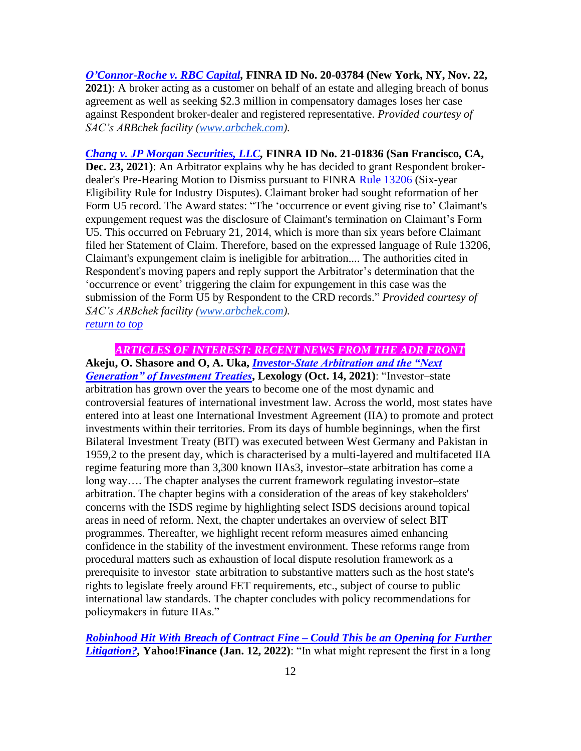*[O'Connor-Roche v. RBC Capital,](http://www.arbchek.com/files/pdf/20-03784.pdf)* **FINRA ID No. 20-03784 (New York, NY, Nov. 22, 2021)**: A broker acting as a customer on behalf of an estate and alleging breach of bonus agreement as well as seeking \$2.3 million in compensatory damages loses her case against Respondent broker-dealer and registered representative. *Provided courtesy of SAC's ARBchek facility [\(www.arbchek.com\)](http://www.arbchek.com/).*

*[Chang v. JP Morgan Securities, LLC,](http://www.arbchek.com/files/pdf/21-01836.pdf)* **FINRA ID No. 21-01836 (San Francisco, CA, Dec. 23, 2021)**: An Arbitrator explains why he has decided to grant Respondent brokerdealer's Pre-Hearing Motion to Dismiss pursuant to FINRA [Rule 13206](https://www.finra.org/rules-guidance/rulebooks/finra-rules/13206) (Six-year Eligibility Rule for Industry Disputes). Claimant broker had sought reformation of her Form U5 record. The Award states: "The 'occurrence or event giving rise to' Claimant's expungement request was the disclosure of Claimant's termination on Claimant's Form U5. This occurred on February 21, 2014, which is more than six years before Claimant filed her Statement of Claim. Therefore, based on the expressed language of Rule 13206, Claimant's expungement claim is ineligible for arbitration.... The authorities cited in Respondent's moving papers and reply support the Arbitrator's determination that the 'occurrence or event' triggering the claim for expungement in this case was the submission of the Form U5 by Respondent to the CRD records." *Provided courtesy of SAC's ARBchek facility [\(www.arbchek.com\)](http://www.arbchek.com/). [return to top](#page-0-0)*

<span id="page-11-0"></span>*ARTICLES OF INTEREST: RECENT NEWS FROM THE ADR FRONT* **Akeju, O. Shasore and O, A. Uka,** *[Investor-State Arbitration and the "Next](https://www.lexology.com/library/detail.aspx?g=44fb5d61-ab52-4c17-aae0-461070918ee3)  [Generation" of Investment Treaties](https://www.lexology.com/library/detail.aspx?g=44fb5d61-ab52-4c17-aae0-461070918ee3)***, Lexology (Oct. 14, 2021)**: "Investor–state arbitration has grown over the years to become one of the most dynamic and controversial features of international investment law. Across the world, most states have entered into at least one International Investment Agreement (IIA) to promote and protect investments within their territories. From its days of humble beginnings, when the first Bilateral Investment Treaty (BIT) was executed between West Germany and Pakistan in 1959,2 to the present day, which is characterised by a multi-layered and multifaceted IIA regime featuring more than 3,300 known IIAs3, investor–state arbitration has come a long way…. The chapter analyses the current framework regulating investor–state arbitration. The chapter begins with a consideration of the areas of key stakeholders' concerns with the ISDS regime by highlighting select ISDS decisions around topical areas in need of reform. Next, the chapter undertakes an overview of select BIT programmes. Thereafter, we highlight recent reform measures aimed enhancing confidence in the stability of the investment environment. These reforms range from procedural matters such as exhaustion of local dispute resolution framework as a prerequisite to investor–state arbitration to substantive matters such as the host state's rights to legislate freely around FET requirements, etc., subject of course to public international law standards. The chapter concludes with policy recommendations for policymakers in future IIAs."

*[Robinhood Hit With Breach of Contract Fine –](https://finance.yahoo.com/news/robinhood-hit-breach-contract-fine-175932266.html) Could This be an Opening for Further [Litigation?,](https://finance.yahoo.com/news/robinhood-hit-breach-contract-fine-175932266.html)* **Yahoo!Finance (Jan. 12, 2022)**: "In what might represent the first in a long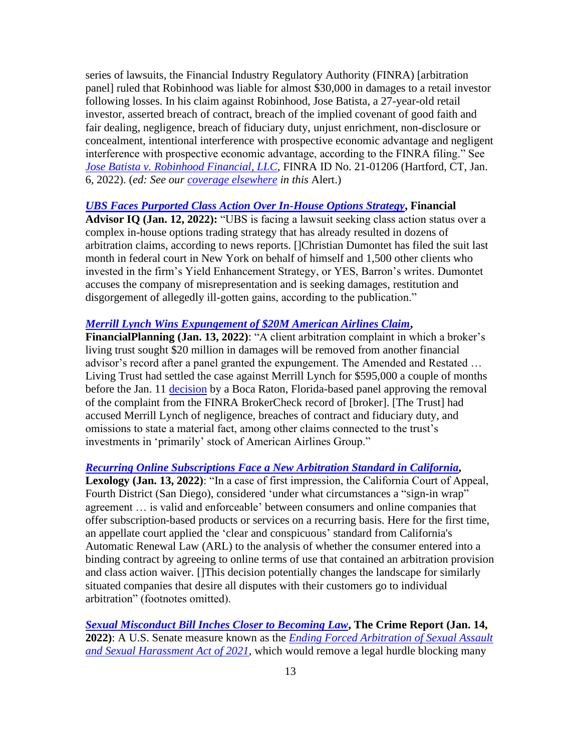series of lawsuits, the Financial Industry Regulatory Authority (FINRA) [arbitration panel] ruled that Robinhood was liable for almost \$30,000 in damages to a retail investor following losses. In his claim against Robinhood, Jose Batista, a 27-year-old retail investor, asserted breach of contract, breach of the implied covenant of good faith and fair dealing, negligence, breach of fiduciary duty, unjust enrichment, non-disclosure or concealment, intentional interference with prospective economic advantage and negligent interference with prospective economic advantage, according to the FINRA filing." See *[Jose Batista v. Robinhood Financial, LLC](https://www.finra.org/sites/default/files/aao_documents/21-01206.pdf)*, FINRA ID No. 21-01206 (Hartford, CT, Jan. 6, 2022). (*ed: See our [coverage elsewhere](#page-8-0) in this* Alert.)

#### *[UBS Faces Purported Class Action Over In-House Options Strategy](https://www.financialadvisoriq.com/c/3460604/442483/faces_purported_class_action_over_house_options_strategy?referrer_module=sideBarHeadlines)***, Financial**

**Advisor IQ (Jan. 12, 2022):** "UBS is facing a lawsuit seeking class action status over a complex in-house options trading strategy that has already resulted in dozens of arbitration claims, according to news reports. []Christian Dumontet has filed the suit last month in federal court in New York on behalf of himself and 1,500 other clients who invested in the firm's Yield Enhancement Strategy, or YES, Barron's writes. Dumontet accuses the company of misrepresentation and is seeking damages, restitution and disgorgement of allegedly ill-gotten gains, according to the publication."

# *[Merrill Lynch Wins Expungement of \\$20M American Airlines Claim](https://www.financial-planning.com/news/merrill-lynch-wins-expungement-of-20m-client-arbitration)***,**

**FinancialPlanning (Jan. 13, 2022)**: "A client arbitration complaint in which a broker's living trust sought \$20 million in damages will be removed from another financial advisor's record after a panel granted the expungement. The Amended and Restated … Living Trust had settled the case against Merrill Lynch for \$595,000 a couple of months before the Jan. 11 [decision](https://www.finra.org/sites/default/files/aao_documents/20-02397.pdf) by a Boca Raton, Florida-based panel approving the removal of the complaint from the FINRA BrokerCheck record of [broker]. [The Trust] had accused Merrill Lynch of negligence, breaches of contract and fiduciary duty, and omissions to state a material fact, among other claims connected to the trust's investments in 'primarily' stock of American Airlines Group."

#### *[Recurring Online Subscriptions Face a New Arbitration Standard in California,](file:///C:/Users/George/Desktop/Recurring%20Online%20Subscriptions%20Face%20a%20New%20Arbitration%20Standard%20in%20California)*

**Lexology (Jan. 13, 2022)**: "In a case of first impression, the California Court of Appeal, Fourth District (San Diego), considered 'under what circumstances a "sign-in wrap" agreement … is valid and enforceable' between consumers and online companies that offer subscription-based products or services on a recurring basis. Here for the first time, an appellate court applied the 'clear and conspicuous' standard from California's Automatic Renewal Law (ARL) to the analysis of whether the consumer entered into a binding contract by agreeing to online terms of use that contained an arbitration provision and class action waiver. []This decision potentially changes the landscape for similarly situated companies that desire all disputes with their customers go to individual arbitration" (footnotes omitted).

*[Sexual Misconduct Bill Inches Closer to Becoming Law](https://thecrimereport.org/2022/01/14/sexual-misconduct-bill-inches-closer-to-becoming-law/)***, The Crime Report (Jan. 14, 2022)**: A U.S. Senate measure known as the *[Ending Forced Arbitration of Sexual Assault](https://www.congress.gov/bill/117th-congress/senate-bill/2342)  [and Sexual Harassment Act of 2021](https://www.congress.gov/bill/117th-congress/senate-bill/2342)*, which would remove a legal hurdle blocking many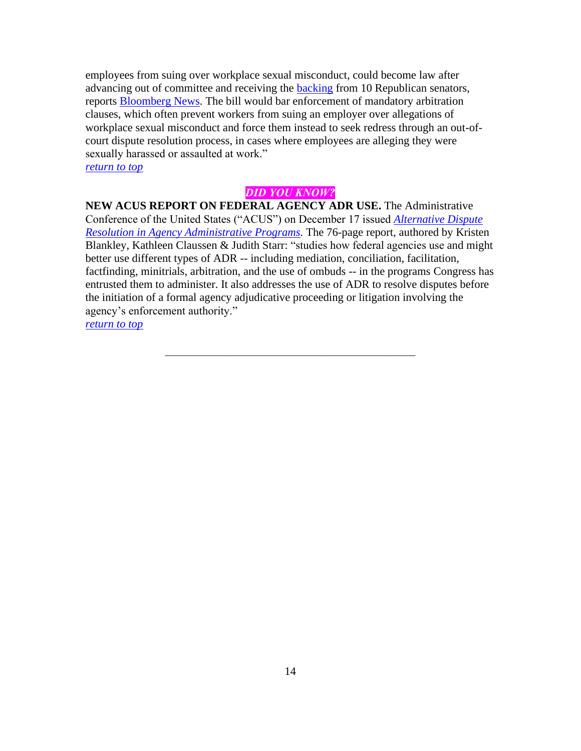employees from suing over workplace sexual misconduct, could become law after advancing out of committee and receiving the [backing](https://www.congress.gov/bill/117th-congress/senate-bill/2342/cosponsors) from 10 Republican senators, reports [Bloomberg News.](https://news.bloomberglaw.com/daily-labor-report/sexual-misconduct-bill-nears-filibuster-proof-support-in-senate) The bill would bar enforcement of mandatory arbitration clauses, which often prevent workers from suing an employer over allegations of workplace sexual misconduct and force them instead to seek redress through an out-ofcourt dispute resolution process, in cases where employees are alleging they were sexually harassed or assaulted at work."

*[return to](#page-0-0) top*

# *DID YOU KNOW?*

<span id="page-13-0"></span>**NEW ACUS REPORT ON FEDERAL AGENCY ADR USE.** The Administrative Conference of the United States ("ACUS") on December 17 issued *[Alternative Dispute](https://www.acus.gov/sites/default/files/documents/Final%20Report_ALTERNATIVE%20DISPUTE%20RESOLUTION%20IN%20AGENCY%20ADMINISRATIVE%20PROGRAMS%20(Dec%2017,%202021).pdf)  [Resolution in Agency Administrative Programs.](https://www.acus.gov/sites/default/files/documents/Final%20Report_ALTERNATIVE%20DISPUTE%20RESOLUTION%20IN%20AGENCY%20ADMINISRATIVE%20PROGRAMS%20(Dec%2017,%202021).pdf)* The 76-page report, authored by Kristen Blankley, Kathleen Claussen & Judith Starr: "studies how federal agencies use and might better use different types of ADR -- including mediation, conciliation, facilitation, factfinding, minitrials, arbitration, and the use of ombuds -- in the programs Congress has entrusted them to administer. It also addresses the use of ADR to resolve disputes before the initiation of a formal agency adjudicative proceeding or litigation involving the agency's enforcement authority."

*[return to top](#page-0-0)*